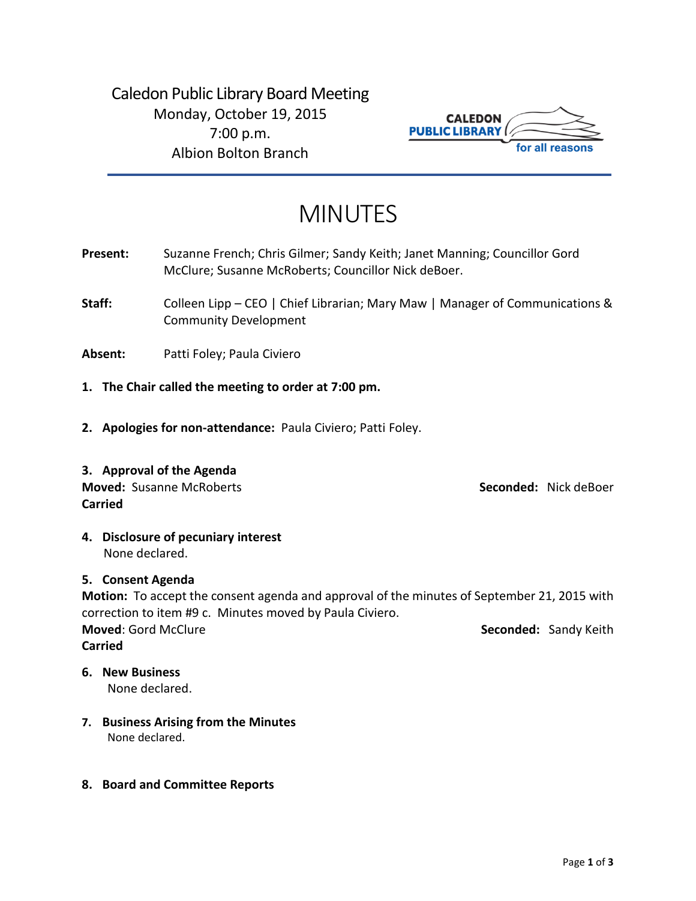Caledon Public Library Board Meeting Monday, October 19, 2015 7:00 p.m. Albion Bolton Branch



# MINUTES

- **Present:** Suzanne French; Chris Gilmer; Sandy Keith; Janet Manning; Councillor Gord McClure; Susanne McRoberts; Councillor Nick deBoer.
- **Staff:** Colleen Lipp CEO | Chief Librarian; Mary Maw | Manager of Communications & Community Development
- **Absent:** Patti Foley; Paula Civiero
- **1. The Chair called the meeting to order at 7:00 pm.**
- **2. Apologies for non-attendance:** Paula Civiero; Patti Foley.
- **3. Approval of the Agenda Moved:** Susanne McRoberts **Seconded:** Nick deBoer **Carried**

**4. Disclosure of pecuniary interest** None declared.

# **5. Consent Agenda**

**Motion:** To accept the consent agenda and approval of the minutes of September 21, 2015 with correction to item #9 c. Minutes moved by Paula Civiero. **Moved:** Gord McClure **Seconded:** Sandy Keith **Carried**

**6. New Business**

None declared.

- **7. Business Arising from the Minutes** None declared.
- **8. Board and Committee Reports**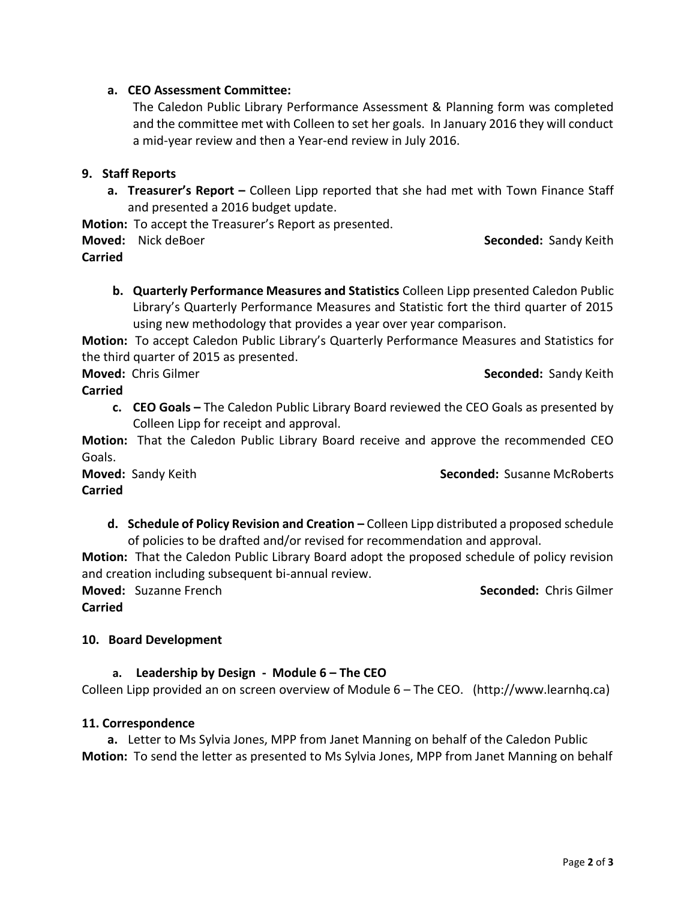### **a. CEO Assessment Committee:**

The Caledon Public Library Performance Assessment & Planning form was completed and the committee met with Colleen to set her goals. In January 2016 they will conduct a mid-year review and then a Year-end review in July 2016.

### **9. Staff Reports**

**a. Treasurer's Report –** Colleen Lipp reported that she had met with Town Finance Staff and presented a 2016 budget update.

**Motion:** To accept the Treasurer's Report as presented.

**Moved:** Nick deBoer **Seconded: Sandy Keith Seconded: Sandy Keith** 

**Carried**

**b. Quarterly Performance Measures and Statistics** Colleen Lipp presented Caledon Public Library's Quarterly Performance Measures and Statistic fort the third quarter of 2015 using new methodology that provides a year over year comparison.

**Motion:** To accept Caledon Public Library's Quarterly Performance Measures and Statistics for the third quarter of 2015 as presented.

**Moved:** Chris Gilmer **Seconded:** Chris Gilmer **Seconded:** Sandy Keith

**Carried**

**c. CEO Goals –** The Caledon Public Library Board reviewed the CEO Goals as presented by Colleen Lipp for receipt and approval.

**Motion:** That the Caledon Public Library Board receive and approve the recommended CEO Goals.

**Carried**

**Moved:** Sandy Keith **Seconded:** Susanne McRoberts

**d. Schedule of Policy Revision and Creation –** Colleen Lipp distributed a proposed schedule of policies to be drafted and/or revised for recommendation and approval.

**Motion:** That the Caledon Public Library Board adopt the proposed schedule of policy revision and creation including subsequent bi-annual review.

**Moved:** Suzanne French **Seconded:** Chris Gilmer **Carried**

# **10. Board Development**

# **a. Leadership by Design - Module 6 – The CEO**

Colleen Lipp provided an on screen overview of Module 6 – The CEO. (http://www.learnhq.ca)

#### **11. Correspondence**

**a.** Letter to Ms Sylvia Jones, MPP from Janet Manning on behalf of the Caledon Public **Motion:** To send the letter as presented to Ms Sylvia Jones, MPP from Janet Manning on behalf